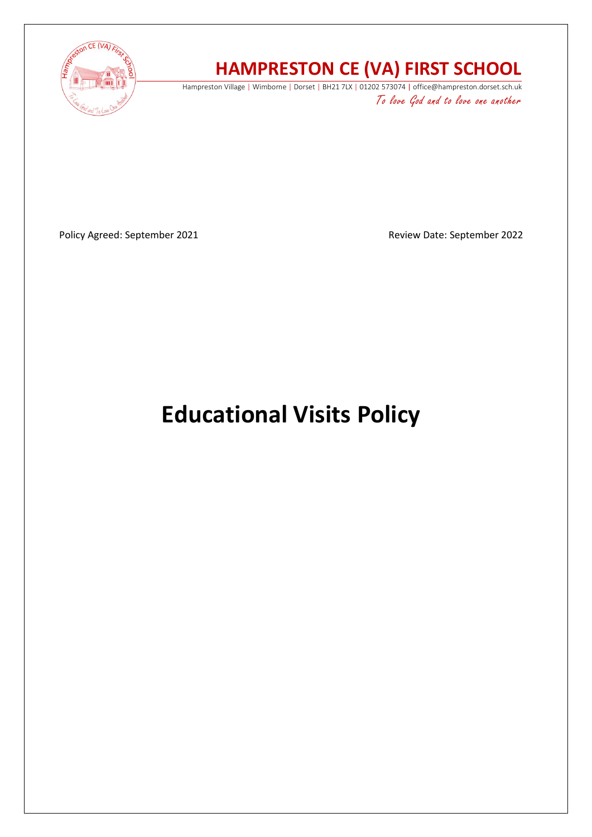

# **HAMPRESTON CE (VA) FIRST SCHOOL**

Hampreston Village | Wimborne | Dorset | BH21 7LX | 01202 573074 | office@hampreston.dorset.sch.uk To love God and to love one another

Policy Agreed: September 2021 and a september 2022 and a september 2022

# **Educational Visits Policy**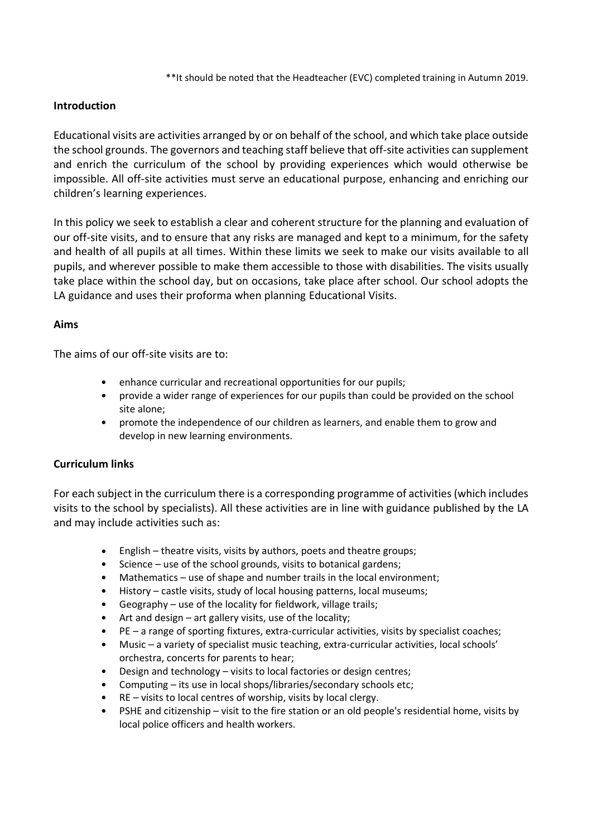\*\*It should be noted that the Headteacher (EVC) completed training in Autumn 2019.

# **Introduction**

Educational visits are activities arranged by or on behalf of the school, and which take place outside the school grounds. The governors and teaching staff believe that off-site activities can supplement and enrich the curriculum of the school by providing experiences which would otherwise be impossible. All off-site activities must serve an educational purpose, enhancing and enriching our children's learning experiences.

In this policy we seek to establish a clear and coherent structure for the planning and evaluation of our off-site visits, and to ensure that any risks are managed and kept to a minimum, for the safety and health of all pupils at all times. Within these limits we seek to make our visits available to all pupils, and wherever possible to make them accessible to those with disabilities. The visits usually take place within the school day, but on occasions, take place after school. Our school adopts the LA guidance and uses their proforma when planning Educational Visits.

#### **Aims**

The aims of our off-site visits are to:

- enhance curricular and recreational opportunities for our pupils;
- provide a wider range of experiences for our pupils than could be provided on the school site alone;
- promote the independence of our children as learners, and enable them to grow and develop in new learning environments.

# **Curriculum links**

For each subject in the curriculum there is a corresponding programme of activities (which includes visits to the school by specialists). All these activities are in line with guidance published by the LA and may include activities such as:

- English theatre visits, visits by authors, poets and theatre groups;
- Science use of the school grounds, visits to botanical gardens;
- Mathematics use of shape and number trails in the local environment;
- History castle visits, study of local housing patterns, local museums;
- Geography use of the locality for fieldwork, village trails;
- Art and design art gallery visits, use of the locality;
- PE a range of sporting fixtures, extra-curricular activities, visits by specialist coaches;
- Music a variety of specialist music teaching, extra-curricular activities, local schools' orchestra, concerts for parents to hear;
- Design and technology visits to local factories or design centres;
- Computing its use in local shops/libraries/secondary schools etc;
- $RE -$  visits to local centres of worship, visits by local clergy.
- PSHE and citizenship visit to the fire station or an old people's residential home, visits by local police officers and health workers.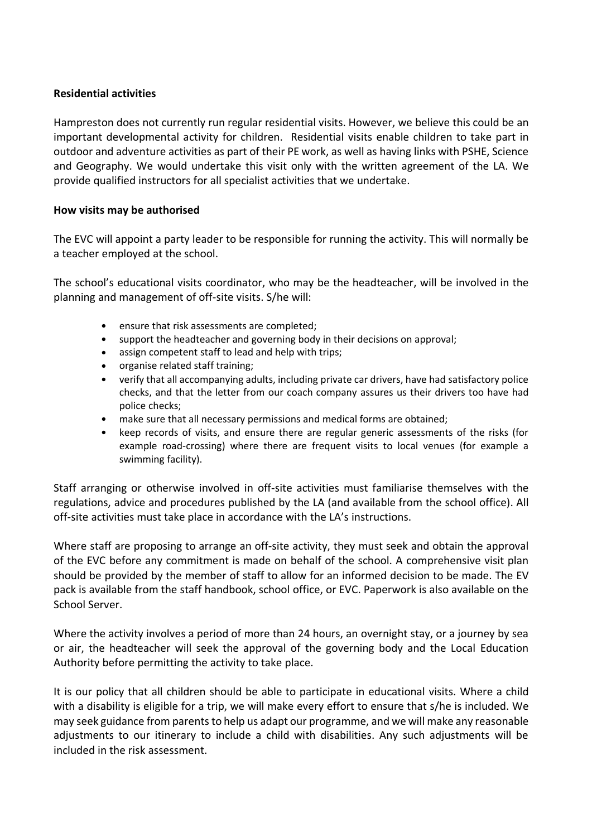#### **Residential activities**

Hampreston does not currently run regular residential visits. However, we believe this could be an important developmental activity for children. Residential visits enable children to take part in outdoor and adventure activities as part of their PE work, as well as having links with PSHE, Science and Geography. We would undertake this visit only with the written agreement of the LA. We provide qualified instructors for all specialist activities that we undertake.

#### **How visits may be authorised**

The EVC will appoint a party leader to be responsible for running the activity. This will normally be a teacher employed at the school.

The school's educational visits coordinator, who may be the headteacher, will be involved in the planning and management of off-site visits. S/he will:

- ensure that risk assessments are completed;
- support the headteacher and governing body in their decisions on approval;
- assign competent staff to lead and help with trips;
- organise related staff training;
- verify that all accompanying adults, including private car drivers, have had satisfactory police checks, and that the letter from our coach company assures us their drivers too have had police checks;
- make sure that all necessary permissions and medical forms are obtained;
- keep records of visits, and ensure there are regular generic assessments of the risks (for example road-crossing) where there are frequent visits to local venues (for example a swimming facility).

Staff arranging or otherwise involved in off-site activities must familiarise themselves with the regulations, advice and procedures published by the LA (and available from the school office). All off-site activities must take place in accordance with the LA's instructions.

Where staff are proposing to arrange an off-site activity, they must seek and obtain the approval of the EVC before any commitment is made on behalf of the school. A comprehensive visit plan should be provided by the member of staff to allow for an informed decision to be made. The EV pack is available from the staff handbook, school office, or EVC. Paperwork is also available on the School Server.

Where the activity involves a period of more than 24 hours, an overnight stay, or a journey by sea or air, the headteacher will seek the approval of the governing body and the Local Education Authority before permitting the activity to take place.

It is our policy that all children should be able to participate in educational visits. Where a child with a disability is eligible for a trip, we will make every effort to ensure that s/he is included. We may seek guidance from parents to help us adapt our programme, and we will make any reasonable adjustments to our itinerary to include a child with disabilities. Any such adjustments will be included in the risk assessment.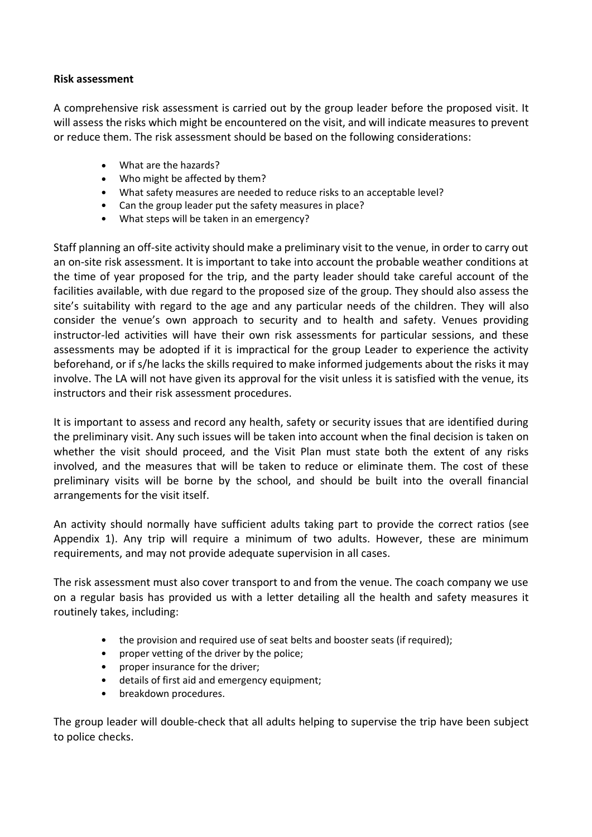#### **Risk assessment**

A comprehensive risk assessment is carried out by the group leader before the proposed visit. It will assess the risks which might be encountered on the visit, and will indicate measures to prevent or reduce them. The risk assessment should be based on the following considerations:

- What are the hazards?
- Who might be affected by them?
- What safety measures are needed to reduce risks to an acceptable level?
- Can the group leader put the safety measures in place?
- What steps will be taken in an emergency?

Staff planning an off-site activity should make a preliminary visit to the venue, in order to carry out an on-site risk assessment. It is important to take into account the probable weather conditions at the time of year proposed for the trip, and the party leader should take careful account of the facilities available, with due regard to the proposed size of the group. They should also assess the site's suitability with regard to the age and any particular needs of the children. They will also consider the venue's own approach to security and to health and safety. Venues providing instructor-led activities will have their own risk assessments for particular sessions, and these assessments may be adopted if it is impractical for the group Leader to experience the activity beforehand, or if s/he lacks the skills required to make informed judgements about the risks it may involve. The LA will not have given its approval for the visit unless it is satisfied with the venue, its instructors and their risk assessment procedures.

It is important to assess and record any health, safety or security issues that are identified during the preliminary visit. Any such issues will be taken into account when the final decision is taken on whether the visit should proceed, and the Visit Plan must state both the extent of any risks involved, and the measures that will be taken to reduce or eliminate them. The cost of these preliminary visits will be borne by the school, and should be built into the overall financial arrangements for the visit itself.

An activity should normally have sufficient adults taking part to provide the correct ratios (see Appendix 1). Any trip will require a minimum of two adults. However, these are minimum requirements, and may not provide adequate supervision in all cases.

The risk assessment must also cover transport to and from the venue. The coach company we use on a regular basis has provided us with a letter detailing all the health and safety measures it routinely takes, including:

- the provision and required use of seat belts and booster seats (if required);
- proper vetting of the driver by the police;
- proper insurance for the driver;
- details of first aid and emergency equipment;
- breakdown procedures.

The group leader will double-check that all adults helping to supervise the trip have been subject to police checks.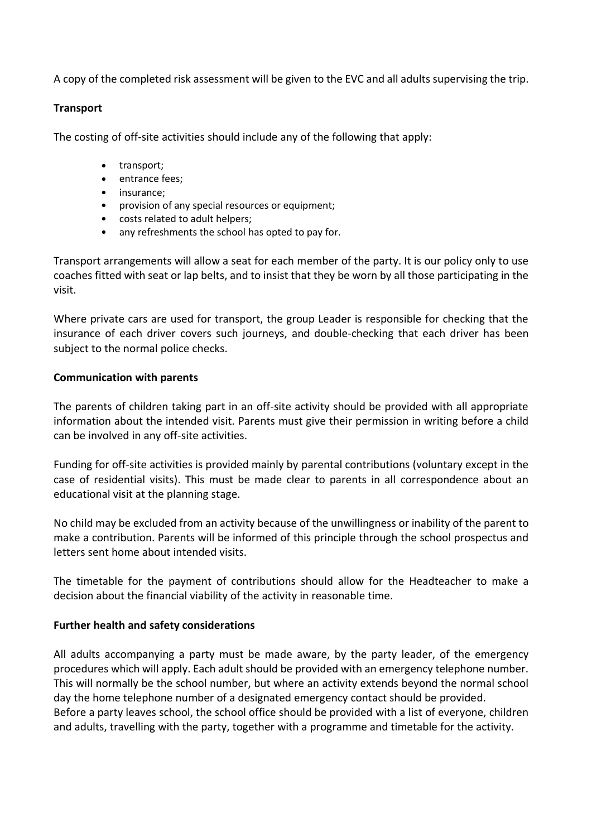A copy of the completed risk assessment will be given to the EVC and all adults supervising the trip.

#### **Transport**

The costing of off-site activities should include any of the following that apply:

- transport;
- entrance fees;
- insurance;
- provision of any special resources or equipment;
- costs related to adult helpers;
- any refreshments the school has opted to pay for.

Transport arrangements will allow a seat for each member of the party. It is our policy only to use coaches fitted with seat or lap belts, and to insist that they be worn by all those participating in the visit.

Where private cars are used for transport, the group Leader is responsible for checking that the insurance of each driver covers such journeys, and double-checking that each driver has been subject to the normal police checks.

# **Communication with parents**

The parents of children taking part in an off-site activity should be provided with all appropriate information about the intended visit. Parents must give their permission in writing before a child can be involved in any off-site activities.

Funding for off-site activities is provided mainly by parental contributions (voluntary except in the case of residential visits). This must be made clear to parents in all correspondence about an educational visit at the planning stage.

No child may be excluded from an activity because of the unwillingness or inability of the parent to make a contribution. Parents will be informed of this principle through the school prospectus and letters sent home about intended visits.

The timetable for the payment of contributions should allow for the Headteacher to make a decision about the financial viability of the activity in reasonable time.

# **Further health and safety considerations**

All adults accompanying a party must be made aware, by the party leader, of the emergency procedures which will apply. Each adult should be provided with an emergency telephone number. This will normally be the school number, but where an activity extends beyond the normal school day the home telephone number of a designated emergency contact should be provided. Before a party leaves school, the school office should be provided with a list of everyone, children and adults, travelling with the party, together with a programme and timetable for the activity.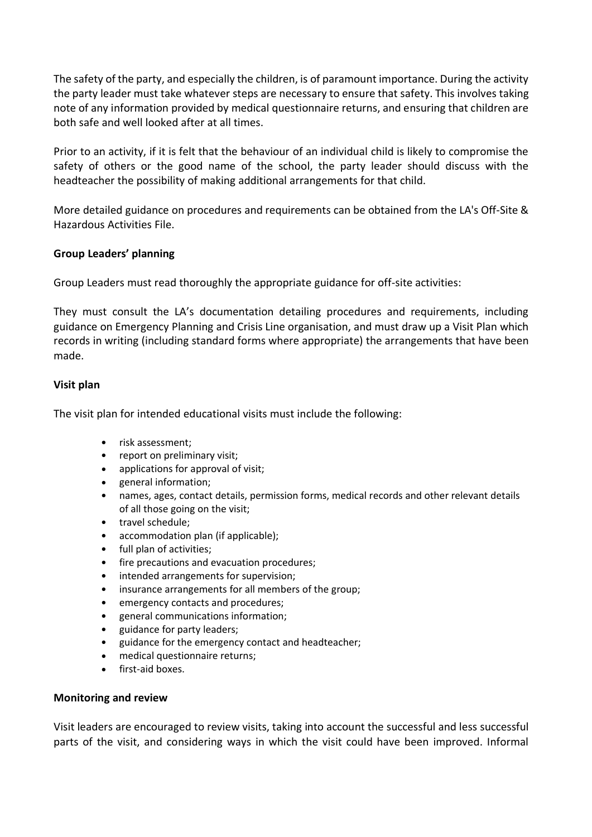The safety of the party, and especially the children, is of paramount importance. During the activity the party leader must take whatever steps are necessary to ensure that safety. This involves taking note of any information provided by medical questionnaire returns, and ensuring that children are both safe and well looked after at all times.

Prior to an activity, if it is felt that the behaviour of an individual child is likely to compromise the safety of others or the good name of the school, the party leader should discuss with the headteacher the possibility of making additional arrangements for that child.

More detailed guidance on procedures and requirements can be obtained from the LA's Off-Site & Hazardous Activities File.

# **Group Leaders' planning**

Group Leaders must read thoroughly the appropriate guidance for off-site activities:

They must consult the LA's documentation detailing procedures and requirements, including guidance on Emergency Planning and Crisis Line organisation, and must draw up a Visit Plan which records in writing (including standard forms where appropriate) the arrangements that have been made.

#### **Visit plan**

The visit plan for intended educational visits must include the following:

- risk assessment;
- report on preliminary visit;
- applications for approval of visit;
- general information;
- names, ages, contact details, permission forms, medical records and other relevant details of all those going on the visit;
- travel schedule;
- accommodation plan (if applicable);
- full plan of activities;
- fire precautions and evacuation procedures:
- intended arrangements for supervision;
- insurance arrangements for all members of the group;
- emergency contacts and procedures;
- general communications information;
- guidance for party leaders;
- guidance for the emergency contact and headteacher;
- medical questionnaire returns;
- first-aid boxes.

#### **Monitoring and review**

Visit leaders are encouraged to review visits, taking into account the successful and less successful parts of the visit, and considering ways in which the visit could have been improved. Informal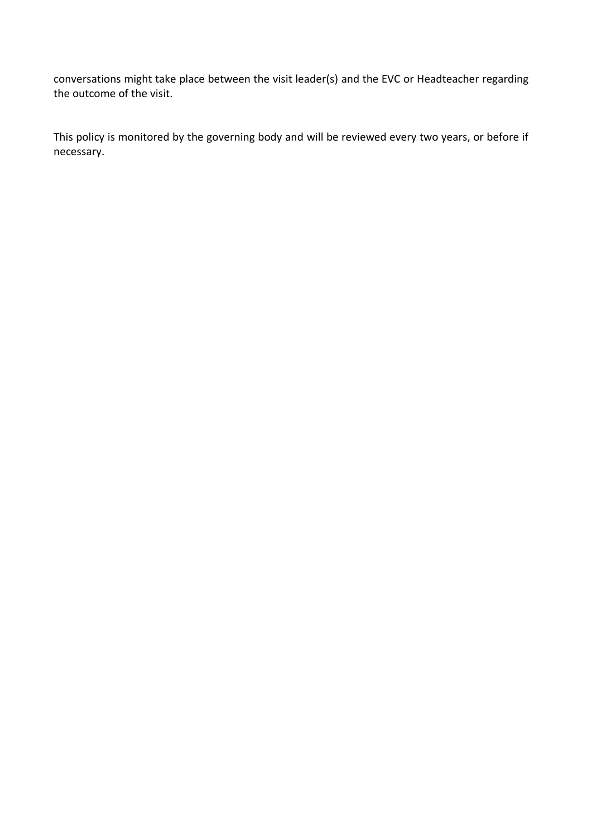conversations might take place between the visit leader(s) and the EVC or Headteacher regarding the outcome of the visit.

This policy is monitored by the governing body and will be reviewed every two years, or before if necessary.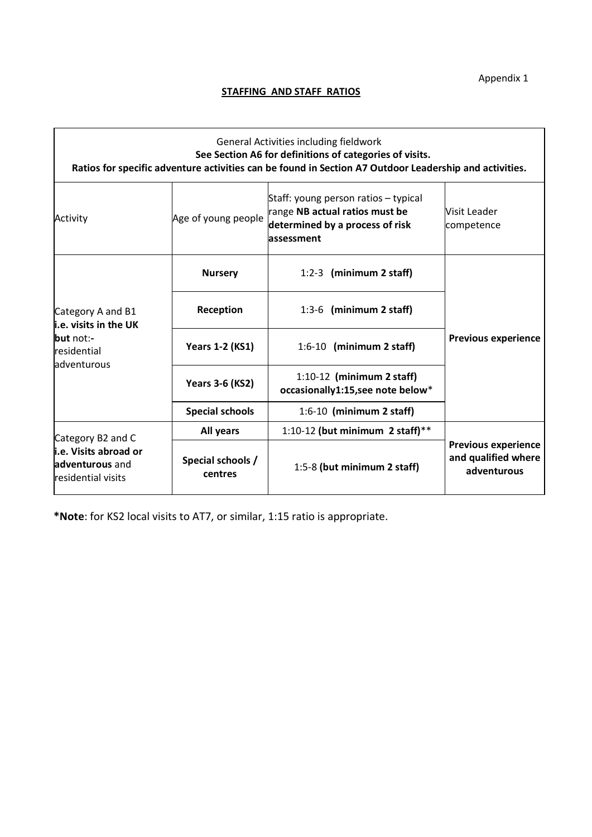Appendix 1

# **STAFFING AND STAFF RATIOS**

|                                                                                                  |                              | General Activities including fieldwork<br>See Section A6 for definitions of categories of visits.<br>Ratios for specific adventure activities can be found in Section A7 Outdoor Leadership and activities. |                                                                  |  |
|--------------------------------------------------------------------------------------------------|------------------------------|-------------------------------------------------------------------------------------------------------------------------------------------------------------------------------------------------------------|------------------------------------------------------------------|--|
| Activity                                                                                         | Age of young people          | Staff: young person ratios - typical<br>range NB actual ratios must be<br>determined by a process of risk<br>lassessment                                                                                    | Visit Leader<br>competence                                       |  |
| Category A and B1<br>$\mathsf{i.e.}$ visits in the UK<br>but not:-<br>residential<br>adventurous | <b>Nursery</b>               | 1:2-3 (minimum 2 staff)                                                                                                                                                                                     |                                                                  |  |
|                                                                                                  | Reception                    | 1:3-6 (minimum 2 staff)                                                                                                                                                                                     | <b>Previous experience</b>                                       |  |
|                                                                                                  | <b>Years 1-2 (KS1)</b>       | $1:6-10$ (minimum 2 staff)                                                                                                                                                                                  |                                                                  |  |
|                                                                                                  | <b>Years 3-6 (KS2)</b>       | $1:10-12$ (minimum 2 staff)<br>occasionally1:15,see note below*                                                                                                                                             |                                                                  |  |
|                                                                                                  | <b>Special schools</b>       | $1:6-10$ (minimum 2 staff)                                                                                                                                                                                  |                                                                  |  |
| Category B2 and C<br>i.e. Visits abroad or<br>adventurous and<br>residential visits              | All years                    | 1:10-12 (but minimum 2 staff)**                                                                                                                                                                             | <b>Previous experience</b><br>and qualified where<br>adventurous |  |
|                                                                                                  | Special schools /<br>centres | 1:5-8 (but minimum 2 staff)                                                                                                                                                                                 |                                                                  |  |

**\*Note**: for KS2 local visits to AT7, or similar, 1:15 ratio is appropriate.